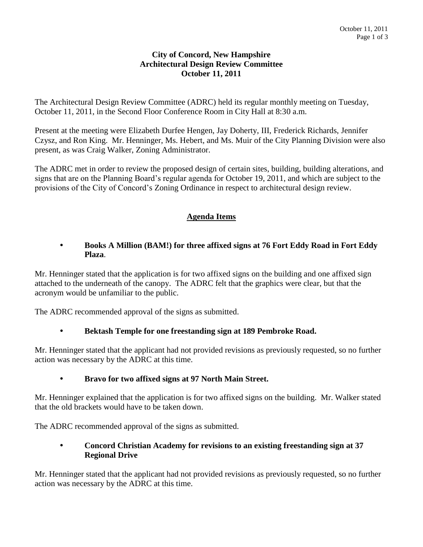#### **City of Concord, New Hampshire Architectural Design Review Committee October 11, 2011**

The Architectural Design Review Committee (ADRC) held its regular monthly meeting on Tuesday, October 11, 2011, in the Second Floor Conference Room in City Hall at 8:30 a.m.

Present at the meeting were Elizabeth Durfee Hengen, Jay Doherty, III, Frederick Richards, Jennifer Czysz, and Ron King. Mr. Henninger, Ms. Hebert, and Ms. Muir of the City Planning Division were also present, as was Craig Walker, Zoning Administrator.

The ADRC met in order to review the proposed design of certain sites, building, building alterations, and signs that are on the Planning Board's regular agenda for October 19, 2011, and which are subject to the provisions of the City of Concord's Zoning Ordinance in respect to architectural design review.

# **Agenda Items**

#### **Books A Million (BAM!) for three affixed signs at 76 Fort Eddy Road in Fort Eddy Plaza**.

Mr. Henninger stated that the application is for two affixed signs on the building and one affixed sign attached to the underneath of the canopy. The ADRC felt that the graphics were clear, but that the acronym would be unfamiliar to the public.

The ADRC recommended approval of the signs as submitted.

## **Bektash Temple for one freestanding sign at 189 Pembroke Road.**

Mr. Henninger stated that the applicant had not provided revisions as previously requested, so no further action was necessary by the ADRC at this time.

## **Bravo for two affixed signs at 97 North Main Street.**

Mr. Henninger explained that the application is for two affixed signs on the building. Mr. Walker stated that the old brackets would have to be taken down.

The ADRC recommended approval of the signs as submitted.

## **Concord Christian Academy for revisions to an existing freestanding sign at 37 Regional Drive**

Mr. Henninger stated that the applicant had not provided revisions as previously requested, so no further action was necessary by the ADRC at this time.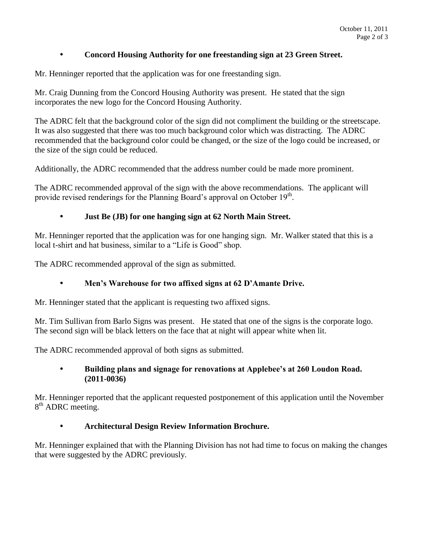### **Concord Housing Authority for one freestanding sign at 23 Green Street.**

Mr. Henninger reported that the application was for one freestanding sign.

Mr. Craig Dunning from the Concord Housing Authority was present. He stated that the sign incorporates the new logo for the Concord Housing Authority.

The ADRC felt that the background color of the sign did not compliment the building or the streetscape. It was also suggested that there was too much background color which was distracting. The ADRC recommended that the background color could be changed, or the size of the logo could be increased, or the size of the sign could be reduced.

Additionally, the ADRC recommended that the address number could be made more prominent.

The ADRC recommended approval of the sign with the above recommendations. The applicant will provide revised renderings for the Planning Board's approval on October  $19<sup>th</sup>$ .

#### **Just Be (JB) for one hanging sign at 62 North Main Street.**

Mr. Henninger reported that the application was for one hanging sign. Mr. Walker stated that this is a local t-shirt and hat business, similar to a "Life is Good" shop.

The ADRC recommended approval of the sign as submitted.

## **Men's Warehouse for two affixed signs at 62 D'Amante Drive.**

Mr. Henninger stated that the applicant is requesting two affixed signs.

Mr. Tim Sullivan from Barlo Signs was present. He stated that one of the signs is the corporate logo. The second sign will be black letters on the face that at night will appear white when lit.

The ADRC recommended approval of both signs as submitted.

#### **Building plans and signage for renovations at Applebee's at 260 Loudon Road. (2011-0036)**

Mr. Henninger reported that the applicant requested postponement of this application until the November 8<sup>th</sup> ADRC meeting.

#### **Architectural Design Review Information Brochure.**

Mr. Henninger explained that with the Planning Division has not had time to focus on making the changes that were suggested by the ADRC previously.